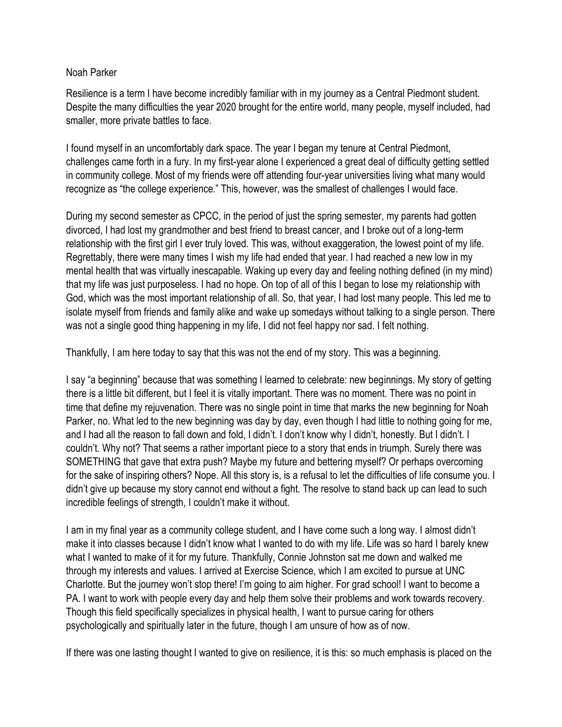## Noah Parker

Resilience is a term I have become incredibly familiar with in my journey as a Central Piedmont student. Despite the many difficulties the year 2020 brought for the entire world, many people, myself included, had smaller, more private battles to face.

I found myself in an uncomfortably dark space. The year I began my tenure at Central Piedmont, challenges came forth in a fury. In my first-year alone I experienced a great deal of difficulty getting settled in community college. Most of my friends were off attending four-year universities living what many would recognize as "the college experience." This, however, was the smallest of challenges I would face.

During my second semester as CPCC, in the period of just the spring semester, my parents had gotten divorced, I had lost my grandmother and best friend to breast cancer, and I broke out of a long-term relationship with the first girl I ever truly loved. This was, without exaggeration, the lowest point of my life. Regrettably, there were many times I wish my life had ended that year. I had reached a new low in my mental health that was virtually inescapable. Waking up every day and feeling nothing defined (in my mind) that my life was just purposeless. I had no hope. On top of all of this I began to lose my relationship with God, which was the most important relationship of all. So, that year, I had lost many people. This led me to isolate myself from friends and family alike and wake up somedays without talking to a single person. There was not a single good thing happening in my life, I did not feel happy nor sad. I felt nothing.

Thankfully, I am here today to say that this was not the end of my story. This was a beginning.

I say "a beginning" because that was something I learned to celebrate: new beginnings. My story of getting there is a little bit different, but I feel it is vitally important. There was no moment. There was no point in time that define my rejuvenation. There was no single point in time that marks the new beginning for Noah Parker, no. What led to the new beginning was day by day, even though I had little to nothing going for me, and I had all the reason to fall down and fold, I didn't. I don't know why I didn't, honestly. But I didn't. I couldn't. Why not? That seems a rather important piece to a story that ends in triumph. Surely there was SOMETHING that gave that extra push? Maybe my future and bettering myself? Or perhaps overcoming for the sake of inspiring others? Nope. All this story is, is a refusal to let the difficulties of life consume you. I didn't give up because my story cannot end without a fight. The resolve to stand back up can lead to such incredible feelings of strength, I couldn't make it without.

I am in my final year as a community college student, and I have come such a long way. I almost didn't make it into classes because I didn't know what I wanted to do with my life. Life was so hard I barely knew what I wanted to make of it for my future. Thankfully, Connie Johnston sat me down and walked me through my interests and values. I arrived at Exercise Science, which I am excited to pursue at UNC Charlotte. But the journey won't stop there! I'm going to aim higher. For grad school! I want to become a PA. I want to work with people every day and help them solve their problems and work towards recovery. Though this field specifically specializes in physical health, I want to pursue caring for others psychologically and spiritually later in the future, though I am unsure of how as of now.

If there was one lasting thought I wanted to give on resilience, it is this: so much emphasis is placed on the